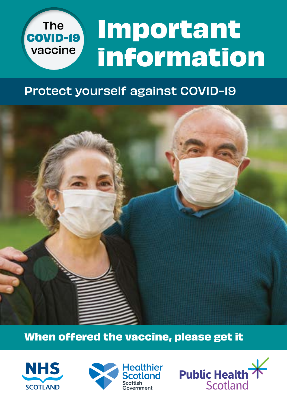### **Important information** The **COVID-19** vaccine

### Protect yourself against COVID-19



#### **When offered the vaccine, please get it**





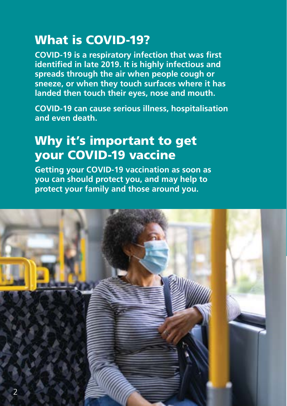### What is COVID-19?

**COVID-19 is a respiratory infection that was first identified in late 2019. It is highly infectious and spreads through the air when people cough or sneeze, or when they touch surfaces where it has landed then touch their eyes, nose and mouth.**

**COVID-19 can cause serious illness, hospitalisation and even death.**

### Why it's important to get your COVID-19 vaccine

**Getting your COVID-19 vaccination as soon as you can should protect you, and may help to protect your family and those around you.**

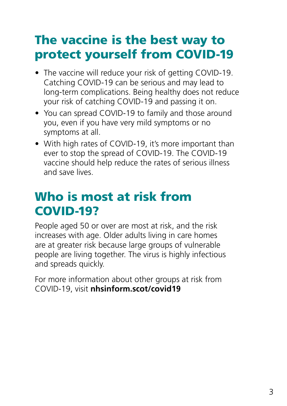### The vaccine is the best way to protect yourself from COVID-19

- The vaccine will reduce your risk of getting COVID-19. Catching COVID-19 can be serious and may lead to long-term complications. Being healthy does not reduce your risk of catching COVID-19 and passing it on.
- You can spread COVID-19 to family and those around you, even if you have very mild symptoms or no symptoms at all.
- With high rates of COVID-19, it's more important than ever to stop the spread of COVID-19. The COVID-19 vaccine should help reduce the rates of serious illness and save lives.

### Who is most at risk from COVID-19?

People aged 50 or over are most at risk, and the risk increases with age. Older adults living in care homes are at greater risk because large groups of vulnerable people are living together. The virus is highly infectious and spreads quickly.

For more information about other groups at risk from COVID-19, visit **nhsinform.scot/covid19**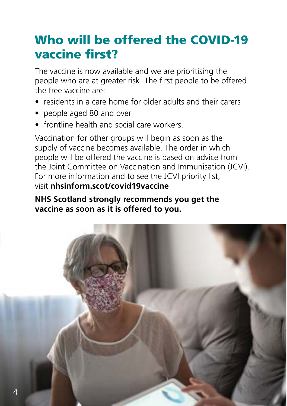### Who will be offered the COVID-19 vaccine first?

The vaccine is now available and we are prioritising the people who are at greater risk. The first people to be offered the free vaccine are:

- residents in a care home for older adults and their carers
- people aged 80 and over
- frontline health and social care workers.

Vaccination for other groups will begin as soon as the supply of vaccine becomes available. The order in which people will be offered the vaccine is based on advice from the Joint Committee on Vaccination and Immunisation (JCVI). For more information and to see the JCVI priority list, visit **nhsinform.scot/covid19vaccine**

#### **NHS Scotland strongly recommends you get the vaccine as soon as it is offered to you.**

![](_page_3_Picture_7.jpeg)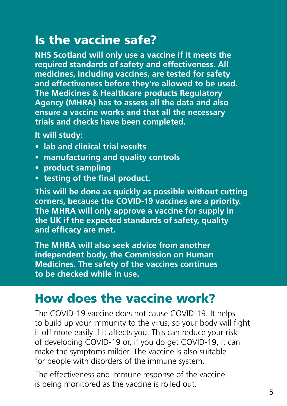### Is the vaccine safe?

**NHS Scotland will only use a vaccine if it meets the required standards of safety and effectiveness. All medicines, including vaccines, are tested for safety and effectiveness before they're allowed to be used. The Medicines & Healthcare products Regulatory Agency (MHRA) has to assess all the data and also ensure a vaccine works and that all the necessary trials and checks have been completed.**

**It will study:**

- **• lab and clinical trial results**
- **• manufacturing and quality controls**
- **• product sampling**
- **• testing of the final product.**

**This will be done as quickly as possible without cutting corners, because the COVID-19 vaccines are a priority. The MHRA will only approve a vaccine for supply in the UK if the expected standards of safety, quality and efficacy are met.** 

**The MHRA will also seek advice from another independent body, the Commission on Human Medicines. The safety of the vaccines continues to be checked while in use.** 

### How does the vaccine work?

The COVID-19 vaccine does not cause COVID-19. It helps to build up your immunity to the virus, so your body will fight it off more easily if it affects you. This can reduce your risk of developing COVID-19 or, if you do get COVID-19, it can make the symptoms milder. The vaccine is also suitable for people with disorders of the immune system.

The effectiveness and immune response of the vaccine is being monitored as the vaccine is rolled out.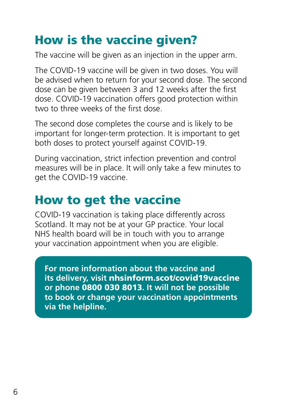### How is the vaccine given?

The vaccine will be given as an injection in the upper arm.

The COVID-19 vaccine will be given in two doses. You will be advised when to return for your second dose. The second dose can be given between 3 and 12 weeks after the first dose. COVID-19 vaccination offers good protection within two to three weeks of the first dose.

The second dose completes the course and is likely to be important for longer-term protection. It is important to get both doses to protect yourself against COVID-19.

During vaccination, strict infection prevention and control measures will be in place. It will only take a few minutes to get the COVID-19 vaccine.

### How to get the vaccine

COVID-19 vaccination is taking place differently across Scotland. It may not be at your GP practice. Your local NHS health board will be in touch with you to arrange your vaccination appointment when you are eligible.

**For more information about the vaccine and its delivery, visit** nhsinform.scot/covid19vaccine **or phone** 0800 030 8013**. It will not be possible to book or change your vaccination appointments via the helpline.**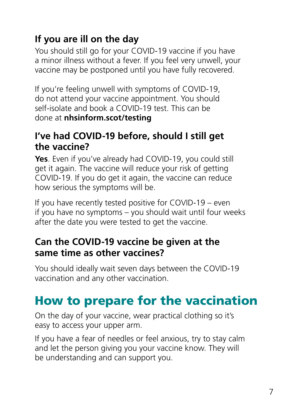### **If you are ill on the day**

You should still go for your COVID-19 vaccine if you have a minor illness without a fever. If you feel very unwell, your vaccine may be postponed until you have fully recovered.

If you're feeling unwell with symptoms of COVID-19, do not attend your vaccine appointment. You should self-isolate and book a COVID-19 test. This can be done at **nhsinform.scot/testing**

#### **I've had COVID-19 before, should I still get the vaccine?**

**Yes**. Even if you've already had COVID-19, you could still get it again. The vaccine will reduce your risk of getting COVID-19. If you do get it again, the vaccine can reduce how serious the symptoms will be.

If you have recently tested positive for COVID-19 – even if you have no symptoms – you should wait until four weeks after the date you were tested to get the vaccine.

#### **Can the COVID-19 vaccine be given at the same time as other vaccines?**

You should ideally wait seven days between the COVID-19 vaccination and any other vaccination.

### How to prepare for the vaccination

On the day of your vaccine, wear practical clothing so it's easy to access your upper arm.

If you have a fear of needles or feel anxious, try to stay calm and let the person giving you your vaccine know. They will be understanding and can support you.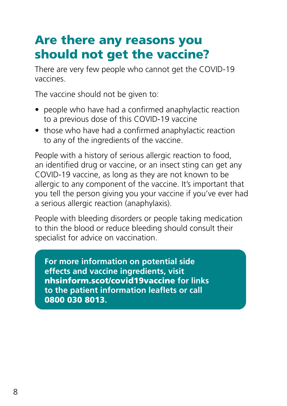### Are there any reasons you should not get the vaccine?

There are very few people who cannot get the COVID-19 vaccines.

The vaccine should not be given to:

- people who have had a confirmed anaphylactic reaction to a previous dose of this COVID-19 vaccine
- those who have had a confirmed anaphylactic reaction to any of the ingredients of the vaccine.

People with a history of serious allergic reaction to food, an identified drug or vaccine, or an insect sting can get any COVID-19 vaccine, as long as they are not known to be allergic to any component of the vaccine. It's important that you tell the person giving you your vaccine if you've ever had a serious allergic reaction (anaphylaxis).

People with bleeding disorders or people taking medication to thin the blood or reduce bleeding should consult their specialist for advice on vaccination.

**For more information on potential side effects and vaccine ingredients, visit**  nhsinform.scot/covid19vaccine **for links to the patient information leaflets or call**  0800 030 8013**.**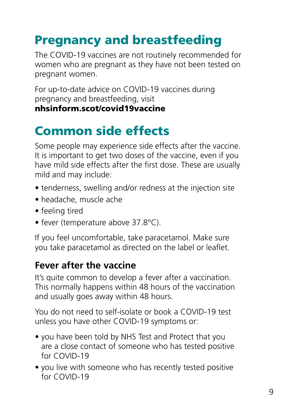## Pregnancy and breastfeeding

The COVID-19 vaccines are not routinely recommended for women who are pregnant as they have not been tested on pregnant women.

For up-to-date advice on COVID-19 vaccines during pregnancy and breastfeeding, visit nhsinform.scot/covid19vaccine

## Common side effects

Some people may experience side effects after the vaccine. It is important to get two doses of the vaccine, even if you have mild side effects after the first dose. These are usually mild and may include:

- tenderness, swelling and/or redness at the injection site
- headache, muscle ache
- feeling tired
- fever (temperature above 37.8°C).

If you feel uncomfortable, take paracetamol. Make sure you take paracetamol as directed on the label or leaflet.

### **Fever after the vaccine**

It's quite common to develop a fever after a vaccination. This normally happens within 48 hours of the vaccination and usually goes away within 48 hours.

You do not need to self-isolate or book a COVID-19 test unless you have other COVID-19 symptoms or:

- you have been told by NHS Test and Protect that you are a close contact of someone who has tested positive for COVID-19
- you live with someone who has recently tested positive for COVID-19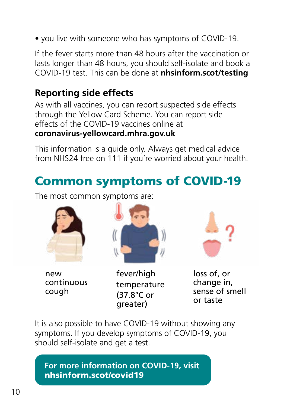• you live with someone who has symptoms of COVID-19.

If the fever starts more than 48 hours after the vaccination or lasts longer than 48 hours, you should self-isolate and book a COVID-19 test. This can be done at **nhsinform.scot/testing**

#### **Reporting side effects**

As with all vaccines, you can report suspected side effects through the Yellow Card Scheme. You can report side effects of the COVID-19 vaccines online at **coronavirus-yellowcard.mhra.gov.uk**

This information is a guide only. Always get medical advice from NHS24 free on 111 if you're worried about your health.

### Common symptoms of COVID-19

The most common symptoms are:

![](_page_9_Picture_7.jpeg)

new continuous cough

![](_page_9_Picture_9.jpeg)

fever/high temperature (37.8°C or greater)

![](_page_9_Picture_11.jpeg)

loss of, or change in, sense of smell or taste

It is also possible to have COVID-19 without showing any symptoms. If you develop symptoms of COVID-19, you should self-isolate and get a test.

![](_page_9_Picture_14.jpeg)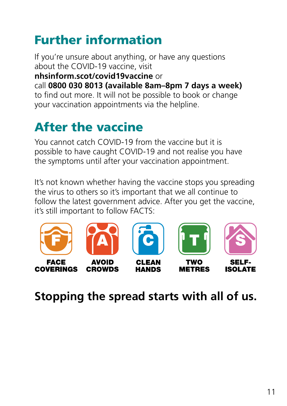## Further information

If you're unsure about anything, or have any questions about the COVID-19 vaccine, visit **nhsinform.scot/covid19vaccine** or call **0800 030 8013 (available 8am–8pm 7 days a week)**  to find out more. It will not be possible to book or change your vaccination appointments via the helpline.

# After the vaccine

You cannot catch COVID-19 from the vaccine but it is possible to have caught COVID-19 and not realise you have the symptoms until after your vaccination appointment.

It's not known whether having the vaccine stops you spreading the virus to others so it's important that we all continue to follow the latest government advice. After you get the vaccine, it's still important to follow FACTS:

![](_page_10_Picture_5.jpeg)

![](_page_10_Picture_6.jpeg)

**CROWDS** 

![](_page_10_Picture_7.jpeg)

**CLEAN** 

**HANDS** 

![](_page_10_Picture_8.jpeg)

**TWO** 

**METRES** 

![](_page_10_Picture_9.jpeg)

SELF-**ISOLATE** 

### **Stopping the spread starts with all of us.**